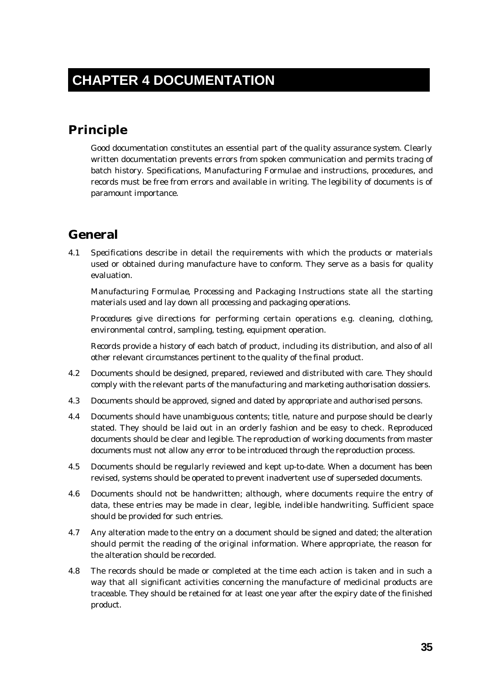# **CHAPTER 4 DOCUMENTATION**

## **Principle**

Good documentation constitutes an essential part of the quality assurance system. Clearly written documentation prevents errors from spoken communication and permits tracing of batch history. Specifications, Manufacturing Formulae and instructions, procedures, and records must be free from errors and available in writing. The legibility of documents is of paramount importance.

## **General**

4.1 *Specifications* describe in detail the requirements with which the products or materials used or obtained during manufacture have to conform. They serve as a basis for quality evaluation.

*Manufacturing Formulae, Processing and Packaging Instructions* state all the starting materials used and lay down all processing and packaging operations.

*Procedures* give directions for performing certain operations e.g. cleaning, clothing, environmental control, sampling, testing, equipment operation.

*Records* provide a history of each batch of product, including its distribution, and also of all other relevant circumstances pertinent to the quality of the final product.

- 4.2 Documents should be designed, prepared, reviewed and distributed with care. They should comply with the relevant parts of the manufacturing and marketing authorisation dossiers.
- 4.3 Documents should be approved, signed and dated by appropriate and authorised persons.
- 4.4 Documents should have unambiguous contents; title, nature and purpose should be clearly stated. They should be laid out in an orderly fashion and be easy to check. Reproduced documents should be clear and legible. The reproduction of working documents from master documents must not allow any error to be introduced through the reproduction process.
- 4.5 Documents should be regularly reviewed and kept up-to-date. When a document has been revised, systems should be operated to prevent inadvertent use of superseded documents.
- 4.6 Documents should not be handwritten; although, where documents require the entry of data, these entries may be made in clear, legible, indelible handwriting. Sufficient space should be provided for such entries.
- 4.7 Any alteration made to the entry on a document should be signed and dated; the alteration should permit the reading of the original information. Where appropriate, the reason for the alteration should be recorded.
- 4.8 The records should be made or completed at the time each action is taken and in such a way that all significant activities concerning the manufacture of medicinal products are traceable. They should be retained for at least one year after the expiry date of the finished product.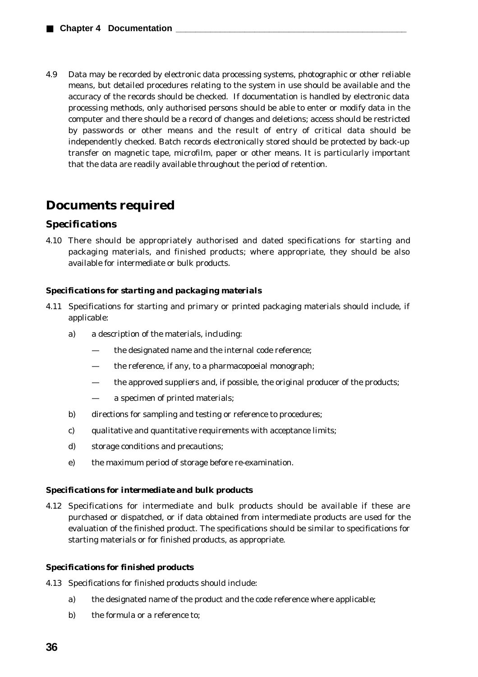4.9 Data may be recorded by electronic data processing systems, photographic or other reliable means, but detailed procedures relating to the system in use should be available and the accuracy of the records should be checked. If documentation is handled by electronic data processing methods, only authorised persons should be able to enter or modify data in the computer and there should be a record of changes and deletions; access should be restricted by passwords or other means and the result of entry of critical data should be independently checked. Batch records electronically stored should be protected by back-up transfer on magnetic tape, microfilm, paper or other means. It is particularly important that the data are readily available throughout the period of retention.

### **Documents required**

### *Specifications*

4.10 There should be appropriately authorised and dated specifications for starting and packaging materials, and finished products; where appropriate, they should be also available for intermediate or bulk products.

#### *Specifications for starting and packaging materials*

- 4.11 Specifications for starting and primary or printed packaging materials should include, if applicable:
	- a) a description of the materials, including:
		- the designated name and the internal code reference;
		- the reference, if any, to a pharmacopoeial monograph;
		- the approved suppliers and, if possible, the original producer of the products;
		- a specimen of printed materials;
	- b) directions for sampling and testing or reference to procedures;
	- c) qualitative and quantitative requirements with acceptance limits;
	- d) storage conditions and precautions;
	- e) the maximum period of storage before re-examination.

#### *Specifications for intermediate and bulk products*

4.12 Specifications for intermediate and bulk products should be available if these are purchased or dispatched, or if data obtained from intermediate products are used for the evaluation of the finished product. The specifications should be similar to specifications for starting materials or for finished products, as appropriate.

#### *Specifications for finished products*

- 4.13 Specifications for finished products should include:
	- a) the designated name of the product and the code reference where applicable;
	- b) the formula or a reference to;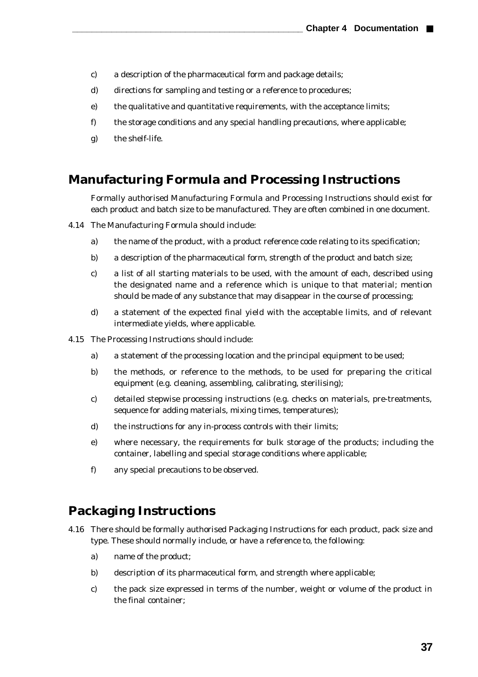- c) a description of the pharmaceutical form and package details;
- d) directions for sampling and testing or a reference to procedures;
- e) the qualitative and quantitative requirements, with the acceptance limits;
- f) the storage conditions and any special handling precautions, where applicable;
- g) the shelf-life.

### **Manufacturing Formula and Processing Instructions**

Formally authorised Manufacturing Formula and Processing Instructions should exist for each product and batch size to be manufactured. They are often combined in one document.

- 4.14 The Manufacturing Formula should include:
	- a) the name of the product, with a product reference code relating to its specification;
	- b) a description of the pharmaceutical form, strength of the product and batch size;
	- c) a list of all starting materials to be used, with the amount of each, described using the designated name and a reference which is unique to that material; mention should be made of any substance that may disappear in the course of processing;
	- d) a statement of the expected final yield with the acceptable limits, and of relevant intermediate yields, where applicable.
- 4.15 The Processing Instructions should include:
	- a) a statement of the processing location and the principal equipment to be used;
	- b) the methods, or reference to the methods, to be used for preparing the critical equipment (e.g. cleaning, assembling, calibrating, sterilising);
	- c) detailed stepwise processing instructions (e.g. checks on materials, pre-treatments, sequence for adding materials, mixing times, temperatures);
	- d) the instructions for any in-process controls with their limits;
	- e) where necessary, the requirements for bulk storage of the products; including the container, labelling and special storage conditions where applicable;
	- f) any special precautions to be observed.

## **Packaging Instructions**

- 4.16 There should be formally authorised Packaging Instructions for each product, pack size and type. These should normally include, or have a reference to, the following:
	- a) name of the product;
	- b) description of its pharmaceutical form, and strength where applicable;
	- c) the pack size expressed in terms of the number, weight or volume of the product in the final container;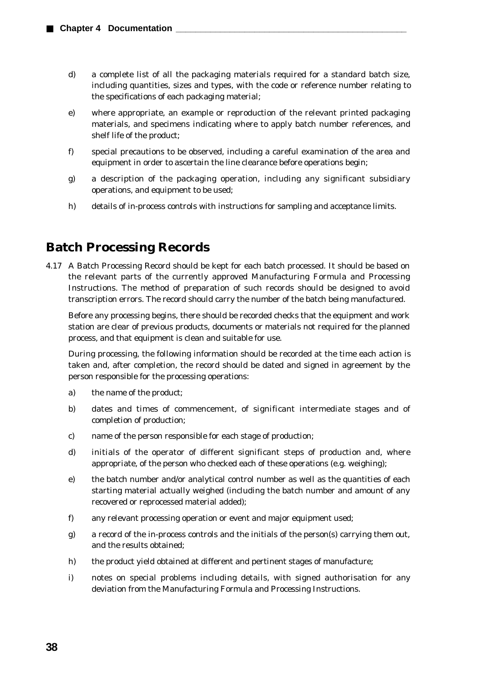- d) a complete list of all the packaging materials required for a standard batch size, including quantities, sizes and types, with the code or reference number relating to the specifications of each packaging material;
- e) where appropriate, an example or reproduction of the relevant printed packaging materials, and specimens indicating where to apply batch number references, and shelf life of the product;
- f) special precautions to be observed, including a careful examination of the area and equipment in order to ascertain the line clearance before operations begin;
- g) a description of the packaging operation, including any significant subsidiary operations, and equipment to be used;
- h) details of in-process controls with instructions for sampling and acceptance limits.

## **Batch Processing Records**

4.17 A Batch Processing Record should be kept for each batch processed. It should be based on the relevant parts of the currently approved Manufacturing Formula and Processing Instructions. The method of preparation of such records should be designed to avoid transcription errors. The record should carry the number of the batch being manufactured.

Before any processing begins, there should be recorded checks that the equipment and work station are clear of previous products, documents or materials not required for the planned process, and that equipment is clean and suitable for use.

During processing, the following information should be recorded at the time each action is taken and, after completion, the record should be dated and signed in agreement by the person responsible for the processing operations:

- a) the name of the product;
- b) dates and times of commencement, of significant intermediate stages and of completion of production;
- c) name of the person responsible for each stage of production;
- d) initials of the operator of different significant steps of production and, where appropriate, of the person who checked each of these operations (e.g. weighing);
- e) the batch number and/or analytical control number as well as the quantities of each starting material actually weighed (including the batch number and amount of any recovered or reprocessed material added);
- f) any relevant processing operation or event and major equipment used;
- g) a record of the in-process controls and the initials of the person(s) carrying them out, and the results obtained;
- h) the product yield obtained at different and pertinent stages of manufacture;
- i) notes on special problems including details, with signed authorisation for any deviation from the Manufacturing Formula and Processing Instructions.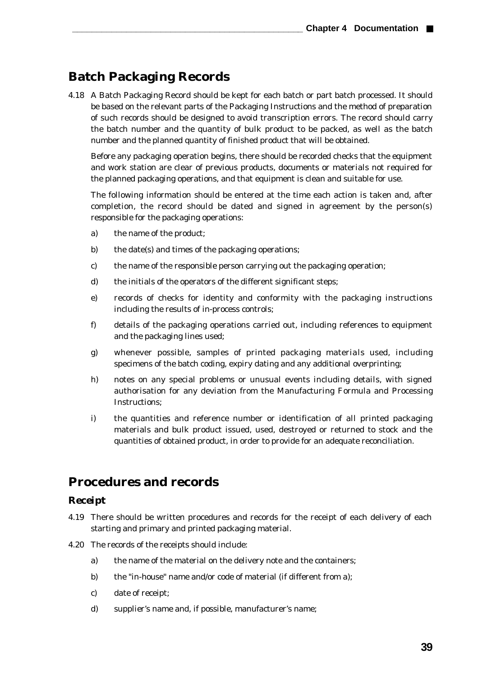## **Batch Packaging Records**

4.18 A Batch Packaging Record should be kept for each batch or part batch processed. It should be based on the relevant parts of the Packaging Instructions and the method of preparation of such records should be designed to avoid transcription errors. The record should carry the batch number and the quantity of bulk product to be packed, as well as the batch number and the planned quantity of finished product that will be obtained.

Before any packaging operation begins, there should be recorded checks that the equipment and work station are clear of previous products, documents or materials not required for the planned packaging operations, and that equipment is clean and suitable for use.

The following information should be entered at the time each action is taken and, after completion, the record should be dated and signed in agreement by the person(s) responsible for the packaging operations:

- a) the name of the product;
- b) the date(s) and times of the packaging operations;
- c) the name of the responsible person carrying out the packaging operation;
- d) the initials of the operators of the different significant steps;
- e) records of checks for identity and conformity with the packaging instructions including the results of in-process controls;
- f) details of the packaging operations carried out, including references to equipment and the packaging lines used;
- g) whenever possible, samples of printed packaging materials used, including specimens of the batch coding, expiry dating and any additional overprinting;
- h) notes on any special problems or unusual events including details, with signed authorisation for any deviation from the Manufacturing Formula and Processing Instructions;
- i) the quantities and reference number or identification of all printed packaging materials and bulk product issued, used, destroyed or returned to stock and the quantities of obtained product, in order to provide for an adequate reconciliation.

### **Procedures and records**

### *Receipt*

- 4.19 There should be written procedures and records for the receipt of each delivery of each starting and primary and printed packaging material.
- 4.20 The records of the receipts should include:
	- a) the name of the material on the delivery note and the containers;
	- b) the "in-house" name and/or code of material (if different from a);
	- c) date of receipt;
	- d) supplier's name and, if possible, manufacturer's name;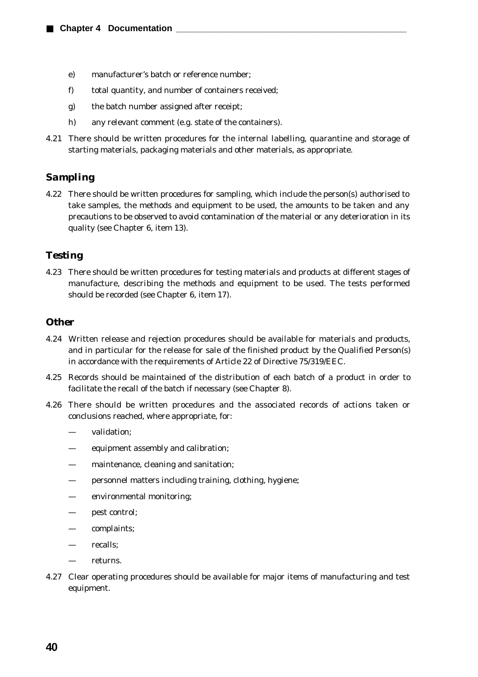- e) manufacturer's batch or reference number;
- f) total quantity, and number of containers received;
- g) the batch number assigned after receipt;
- h) any relevant comment (e.g. state of the containers).
- 4.21 There should be written procedures for the internal labelling, quarantine and storage of starting materials, packaging materials and other materials, as appropriate.

### *Sampling*

4.22 There should be written procedures for sampling, which include the person(s) authorised to take samples, the methods and equipment to be used, the amounts to be taken and any precautions to be observed to avoid contamination of the material or any deterioration in its quality (see Chapter 6, item 13).

### *Testing*

4.23 There should be written procedures for testing materials and products at different stages of manufacture, describing the methods and equipment to be used. The tests performed should be recorded (see Chapter 6, item 17).

### *Other*

- 4.24 Written release and rejection procedures should be available for materials and products, and in particular for the release for sale of the finished product by the Qualified Person(s) in accordance with the requirements of Article 22 of Directive 75/319/EEC.
- 4.25 Records should be maintained of the distribution of each batch of a product in order to facilitate the recall of the batch if necessary (see Chapter 8).
- 4.26 There should be written procedures and the associated records of actions taken or conclusions reached, where appropriate, for:
	- validation;
	- equipment assembly and calibration;
	- maintenance, cleaning and sanitation;
	- personnel matters including training, clothing, hygiene;
	- environmental monitoring;
	- pest control;
	- complaints;
	- recalls:
	- returns.
- 4.27 Clear operating procedures should be available for major items of manufacturing and test equipment.